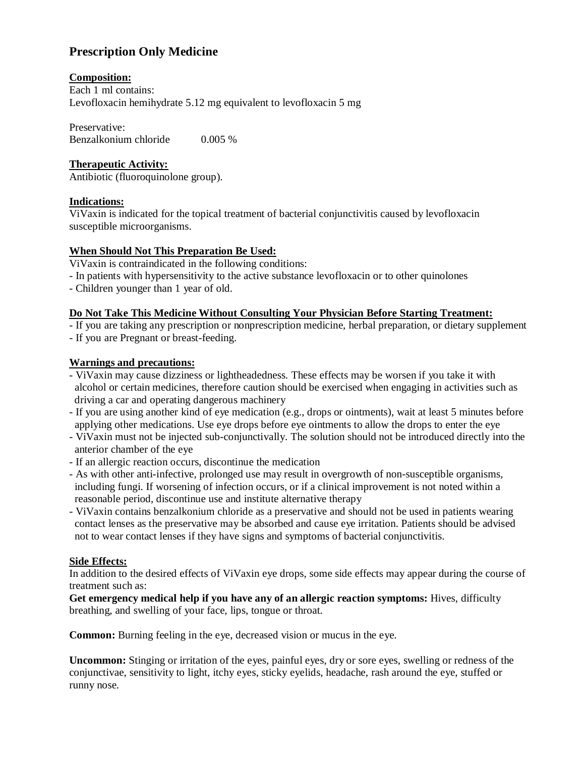# **Prescription Only Medicine**

# **Composition:**

Each 1 ml contains: Levofloxacin hemihydrate 5.12 mg equivalent to levofloxacin 5 mg

Preservative: Benzalkonium chloride 0.005 %

# **Therapeutic Activity:**

Antibiotic (fluoroquinolone group).

# **Indications:**

ViVaxin is indicated for the topical treatment of bacterial conjunctivitis caused by levofloxacin susceptible microorganisms.

# **When Should Not This Preparation Be Used:**

ViVaxin is contraindicated in the following conditions:

- In patients with hypersensitivity to the active substance levofloxacin or to other quinolones
- Children younger than 1 year of old.

### **Do Not Take This Medicine Without Consulting Your Physician Before Starting Treatment:**

- If you are taking any prescription or nonprescription medicine, herbal preparation, or dietary supplement
- If you are Pregnant or breast-feeding.

# **Warnings and precautions:**

- ViVaxin may cause dizziness or lightheadedness. These effects may be worsen if you take it with alcohol or certain medicines, therefore caution should be exercised when engaging in activities such as driving a car and operating dangerous machinery
- If you are using another kind of eye medication (e.g., drops or ointments), wait at least 5 minutes before applying other medications. Use eye drops before eye ointments to allow the drops to enter the eye
- ViVaxin must not be injected sub-conjunctivally. The solution should not be introduced directly into the anterior chamber of the eye
- If an allergic reaction occurs, discontinue the medication
- As with other anti-infective, prolonged use may result in overgrowth of non-susceptible organisms, including fungi. If worsening of infection occurs, or if a clinical improvement is not noted within a reasonable period, discontinue use and institute alternative therapy
- ViVaxin contains benzalkonium chloride as a preservative and should not be used in patients wearing contact lenses as the preservative may be absorbed and cause eye irritation. Patients should be advised not to wear contact lenses if they have signs and symptoms of bacterial conjunctivitis.

# **Side Effects:**

In addition to the desired effects of ViVaxin eye drops, some side effects may appear during the course of treatment such as:

**Get emergency medical help if you have any of an allergic reaction symptoms:** Hives, difficulty breathing, and swelling of your face, lips, tongue or throat.

**Common:** Burning feeling in the eye, decreased vision or mucus in the eye.

**Uncommon:** Stinging or irritation of the eyes, painful eyes, dry or sore eyes, swelling or redness of the conjunctivae, sensitivity to light, itchy eyes, sticky eyelids, headache, rash around the eye, stuffed or runny nose.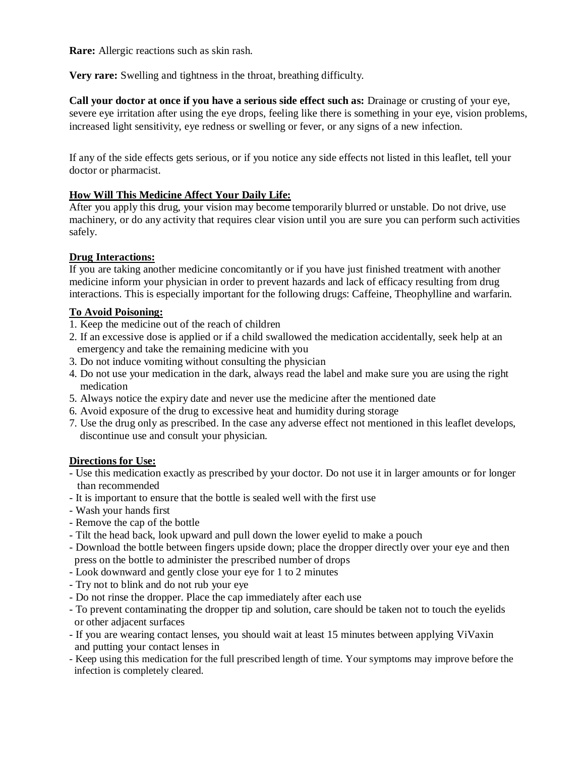**Rare:** Allergic reactions such as skin rash.

**Very rare:** Swelling and tightness in the throat, breathing difficulty.

**Call your doctor at once if you have a serious side effect such as:** Drainage or crusting of your eye, severe eye irritation after using the eye drops, feeling like there is something in your eye, vision problems, increased light sensitivity, eye redness or swelling or fever, or any signs of a new infection.

If any of the side effects gets serious, or if you notice any side effects not listed in this leaflet, tell your doctor or pharmacist.

### **How Will This Medicine Affect Your Daily Life:**

After you apply this drug, your vision may become temporarily blurred or unstable. Do not drive, use machinery, or do any activity that requires clear vision until you are sure you can perform such activities safely.

# **Drug Interactions:**

If you are taking another medicine concomitantly or if you have just finished treatment with another medicine inform your physician in order to prevent hazards and lack of efficacy resulting from drug interactions. This is especially important for the following drugs: Caffeine, Theophylline and warfarin.

### **To Avoid Poisoning:**

- 1. Keep the medicine out of the reach of children
- 2. If an excessive dose is applied or if a child swallowed the medication accidentally, seek help at an emergency and take the remaining medicine with you
- 3. Do not induce vomiting without consulting the physician
- 4. Do not use your medication in the dark, always read the label and make sure you are using the right medication
- 5. Always notice the expiry date and never use the medicine after the mentioned date
- 6. Avoid exposure of the drug to excessive heat and humidity during storage
- 7. Use the drug only as prescribed. In the case any adverse effect not mentioned in this leaflet develops, discontinue use and consult your physician.

### **Directions for Use:**

- Use this medication exactly as prescribed by your doctor. Do not use it in larger amounts or for longer than recommended
- It is important to ensure that the bottle is sealed well with the first use
- Wash your hands first
- Remove the cap of the bottle
- Tilt the head back, look upward and pull down the lower eyelid to make a pouch
- Download the bottle between fingers upside down; place the dropper directly over your eye and then press on the bottle to administer the prescribed number of drops
- Look downward and gently close your eye for 1 to 2 minutes
- Try not to blink and do not rub your eye
- Do not rinse the dropper. Place the cap immediately after each use
- To prevent contaminating the dropper tip and solution, care should be taken not to touch the eyelids or other adjacent surfaces
- If you are wearing contact lenses, you should wait at least 15 minutes between applying ViVaxin and putting your contact lenses in
- Keep using this medication for the full prescribed length of time. Your symptoms may improve before the infection is completely cleared.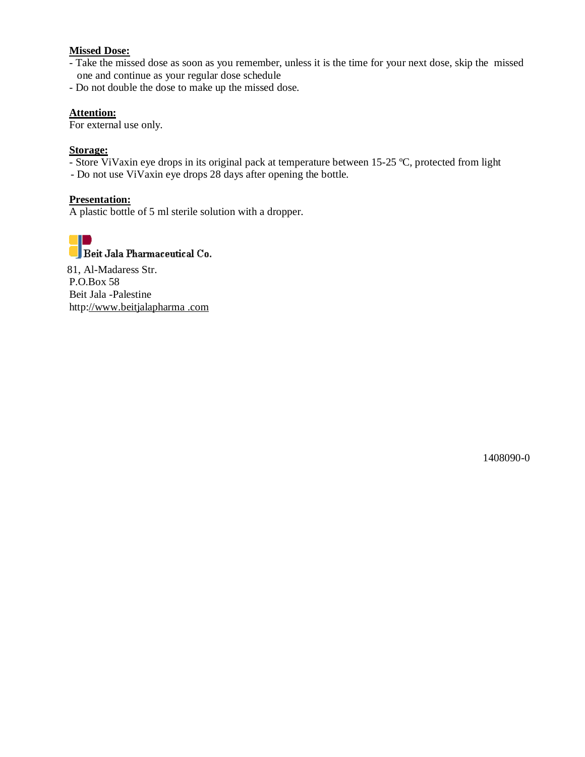#### **Missed Dose:**

- Take the missed dose as soon as you remember, unless it is the time for your next dose, skip the missed one and continue as your regular dose schedule
- Do not double the dose to make up the missed dose.

### **Attention:**

For external use only.

#### **Storage:**

- Store ViVaxin eye drops in its original pack at temperature between 15-25 ºC, protected from light
- Do not use ViVaxin eye drops 28 days after opening the bottle.

#### **Presentation:**

A plastic bottle of 5 ml sterile solution with a dropper.



81, Al-Madaress Str. P.O.Box 58 Beit Jala -Palestine http://www.beitjalapharma .com

1408090-0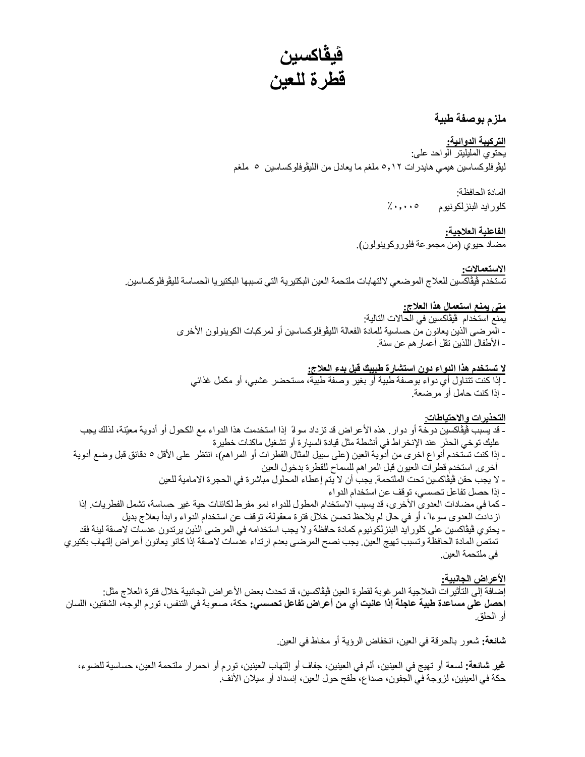**ڤیڤاكسین قطرة للعین** 

### **ملزم بوصفة طبیة**

**التركیبة الدوائیة:**  یحتوي الملیلیتر الواحد على: لیڤوفلوكساسین ھیمي ھایدرات ٥٫١٢ ملغم ما یعادل من اللیڤوفلوكساسین ٥ ملغم

> المادة الحافظة: كلوراید البنزلكونیوم ٪٠٫٠٠٥

**الفاعلیة العلاجیة:**  مضاد حیوي (من مجموعة فلوروكوینولون).

**الاستعمالات:**  تستخدم ڤیڤاكسین للعلاج الموضعي لالتھابات ملتحمة العین البكتیریة التي تسببھا البكتیریا الحساسة للیڤوفلوكساسین.

#### **متى یمنع استعمال ھذا العلاج:**

یمنع استخدام ڤیڤاكسین في الحالات التالیة: - المرضى الذین یعانون من حساسیة للمادة الفعالة اللیڤوفلوكساسین أو لمركبات الكوینولون الأخرى - الأطفال اللذین تقل أعمارھم عن سنة.

### **لا تستخدم ھذا الدواء دون استشارة طبیبك قبل بدء العلاج:**

ـ إذا كنت تتناول أي دواء بوصفة طبیة أو بغیر وصفة طبیة، مستحضر عشبي، أو مكمل غذائي - إذا كنت حامل أو مرضعة.

#### **التحذیرات والاحتیاطات**:

- قد یسبب ڤیڤاكسین دوخة أو دوار. ھذه الأعراض قد تزداد سوءا ً إذا استخدمت ھذا الدواء مع الكحول أو أدویة معیّنة، لذلك یجب علیك توخي الحذر عند الإنخراط في أنشطة مثل قیادة السیارة أو تشغیل ماكنات خطیرة - إذا كنت تستخدم أنواع اخرى من أدویة العین (على سبیل المثال القطرات أو المراھم)، انتظر على الأقل ٥ دقائق قبل وضع أدویة
	- أخرى. استخدم قطرات العیون قبل المراھم للسماح للقطرة بدخول العین - لا یجب حقن ڤیڤاكسین تحت الملتحمة. یجب أن لا یتم إعطاء المحلول مباشرة في الحجرة الامامیة للعین
		- إذا حصل تفاعل تحسسي، توقف عن استخدام الدواء
- كما في مضادات العدوى الأخرى، قد یسبب الاستخدام المطول للدواء نمو مفرط لكائنات حیة غیر حساسة، تشمل الفطریات. إذا ازدادت العدوى سوءا ،ً أو في حال لم یلاحظ تحسن خلال فترة معقولة، توقف عن استخدام الدواء وابدأ بعلاج بدیل
- یحتوي ڤیڤاكسین على كلوراید البنزلكونیوم كمادة حافظة ولا یجب استخدامھ في المرضى الذین یرتدون عدسات لاصقة لینة فقد تمتص المادة الحافظة وتسبب تھیج العین. یجب نصح المرضى بعدم ارتداء عدسات لاصقة إذا كانو یعانون أعراض إلتھاب بكتیري في ملتحمة العین.

### **الأعراض الجانبیة:**

إضافة إلى التأثیرات العلاجیة المرغوبة لقطرة العین ڤیڤاكسین، قد تحدث بعض الأعراض الجانبیة خلال فترة العلاج مثل: **احصل على مساعدة طبیة عاجلة إذا عانیت أي من أعراض تفاعل تحسسي:** حكة، صعوبة في التنفس، تورم الوجھ، الشفتین، اللسان أو الحلق.

**شائعة:** شعور بالحرقة في العین، انخفاض الرؤیة أو مخاط في العین.

**غیر شائعة:** لسعة أو تھیج في العینین، ألم في العینین، جفاف أو إلتھاب العینین، تورم أو احمرار ملتحمة العین، حساسیة للضوء، حكة في العینین، لزوجة في الجفون، صداع، طفح حول العین، إنسداد أو سیلان الأنف.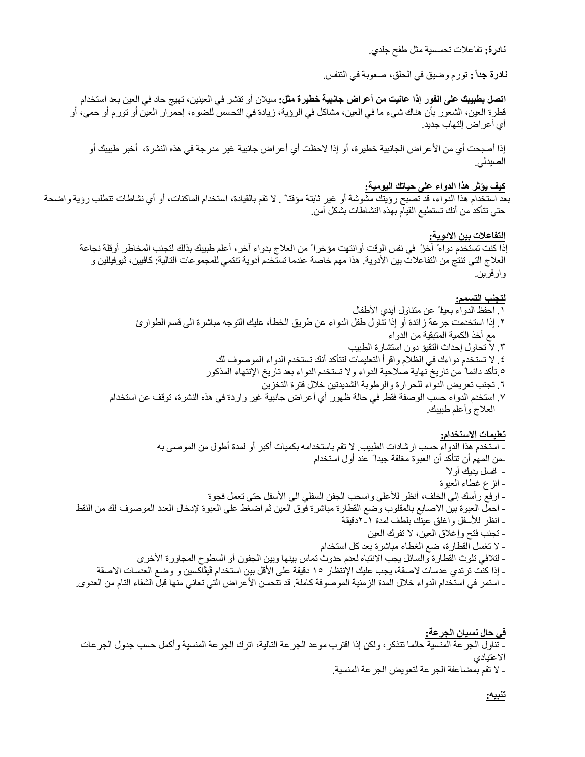**نادرة:** تفاعلات تحسسیة مثل طفح جلدي.

**نادرة جداً :** تورم وضیق في الحلق، صعوبة في التنفس.

**اتصل بطبیبك على الفور إذا عانیت من أعراض جانبیة خطیرة مثل:** سیلان أو تقشر في العینین، تھیج حاد في العین بعد استخدام قطرة العین، الشعور بأن ھناك شيء ما في العین، مشاكل في الرؤیة، زیادة في التحسس للضوء، إحمرار العین أو تورم أو حمى، أو أي أعراض إلتھاب جدید.

إذا أصبحت أي من الأعراض الجانبیة خطیرة، أو إذا لاحظت أي أعراض جانبیة غیر مدرجة في ھذه النشرة، أخبر طبیبك أو الصیدلي.

#### **كیف یؤثر ھذا الدواء على حیاتك الیومیة:**

بعد استخدام ھذا الدواء، قد تصبح رؤیتك مشوشة أو غیر ثابتة مؤقتا ً . لا تقم بالقیادة، استخدام الماكنات، أو أي نشاطات تتطلب رؤیة واضحة حتى تتأكد من أنك تستطیع القیام بھذه النشاطات بشكل آمن.

### **التفاعلات بین الادویة:**

ٳذا كنت تستخدم دواءً آخرا ً في نفس الوقت أوانتھیت مؤخرا ً من العلاج بدواء آخر، أعلم طبیبك بذلك لتجنب المخاطر أوقلة نجاعة العلاج التي تنتج من التفاعلات بین الأدویة. ھذا مھم خاصة عندما تستخدم أدویة تنتمي للمجموعات التالیة: كافیین، ثیوفیللین و وارفرین.

#### **لتجنب التسمم:**

- .١ احفظ الدواء بعیدا ً عن متناول أیدي الأطفال ٢. إذا استخدمت جرعة زائدة أو إذا تناول طفل الدواء عن طريق الخطأ، عليك التوجه مباشرة الى قسم الطوارئ مع أخذ الكمیة المتبقیة من الدواء
	- .٣ لا تحاول إحداث التقیؤ دون استشارة الطبیب
	- .٤ لا تستخدم دواءك في الظلام واقرأ التعلیمات لتتأكد أنك تستخدم الدواء الموصوف لك
	- .٥ تأكد دائما ً من تاریخ نھایة صلاحیة الدواء ولا تستخدم الدواء بعد تاریخ اٺنتھاء المذكور
		- .٦ تجنب تعریض الدواء للحرارة والرطوبة الشدیدتین خلال فترة التخزین
- .٧ استخدم الدواء حسب الوصفة فقط. في حالة ظھور أي أعراض جانبیة غیر واردة في ھذه النشرة، توقف عن استخدام العلاج وأعلم طبیبك.

#### **تعلیمات الاستخدام:**

- استخدم ھذا الدواء حسب ارشادات الطبیب. لا تقم باستخدامھ بكمیات أكبر أو لمدة أطول من الموصى بھ -من المھم أن تتأكد أن العبوة مغلقة جیدا ً عند أول استخدام - اغسل یدیك أولا ً - انزع غطاء العبوة **-** ارفع رأسك إلى الخلف، أنظر للأعلى واسحب الجفن السفلي الى الأسفل حتى تعمل فجوة **-** احمل العبوة بین الاصابع بالمقلوب وضع القطارة مباشرة فوق العین ثم اضغط على العبوة لإدخال العدد الموصوف لك من النقط - انظر للأسفل واغلق عینك بلطف لمدة ٢-١دقیقة - تجنب فتح وإغلاق العین، لا تفرك العین - لا تغسل القطارة، ضع الغطاء مباشرة بعد كل استخدام - لتلافي تلوث القطارة والسائل یجب الانتباه لعدم حدوث تماس بینھا وبین الجفون أو السطوح المجاورة الأخرى - إذا كنت ترتدي عدسات لاصقة، یجب علیك الإنتظار ١٥ دقیقة على الأقل بین استخدام ڤیڤاكسین و وضع العدسات الاصقة - استمر في استخدام الدواء خلال المدة الزمنیة الموصوفة كاملة. قد تتحسن الأعراض التي تعاني منھا قبل الشفاء التام من العدوى.

**في حال نسیان الجرعة:**  - تناول الجرعة المنسیة حالما تتذكر، ولكن إذا اقترب موعد الجرعة التالیة، اترك الجرعة المنسیة وأكمل حسب جدول الجرعات الاعتیادي - لا تقم بمضاعفة الجرعة لتعویض الجرعة المنسیة.